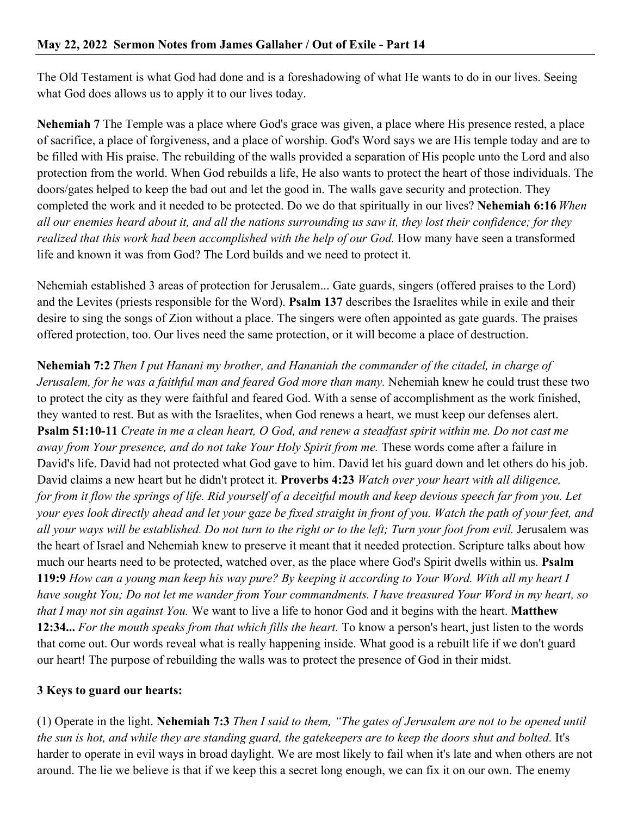The Old Testament is what God had done and is a foreshadowing of what He wants to do in our lives. Seeing what God does allows us to apply it to our lives today.

**Nehemiah 7** The Temple was a place where God's grace was given, a place where His presence rested, a place of sacrifice, a place of forgiveness, and a place of worship. God's Word says we are His temple today and are to be filled with His praise. The rebuilding of the walls provided a separation of His people unto the Lord and also protection from the world. When God rebuilds a life, He also wants to protect the heart of those individuals. The doors/gates helped to keep the bad out and let the good in. The walls gave security and protection. They completed the work and it needed to be protected. Do we do that spiritually in our lives? **Nehemiah 6:16** *When all our enemies heard about it, and all the nations surrounding us saw it, they lost their confidence; for they realized that this work had been accomplished with the help of our God.* How many have seen a transformed life and known it was from God? The Lord builds and we need to protect it.

Nehemiah established 3 areas of protection for Jerusalem... Gate guards, singers (offered praises to the Lord) and the Levites (priests responsible for the Word). **Psalm 137** describes the Israelites while in exile and their desire to sing the songs of Zion without a place. The singers were often appointed as gate guards. The praises offered protection, too. Our lives need the same protection, or it will become a place of destruction.

**Nehemiah 7:2** *Then I put Hanani my brother, and Hananiah the commander of the citadel, in charge of Jerusalem, for he was a faithful man and feared God more than many.* Nehemiah knew he could trust these two to protect the city as they were faithful and feared God. With a sense of accomplishment as the work finished, they wanted to rest. But as with the Israelites, when God renews a heart, we must keep our defenses alert. **Psalm 51:10-11** *Create in me a clean heart, O God, and renew a steadfast spirit within me. Do not cast me away from Your presence, and do not take Your Holy Spirit from me.* These words come after a failure in David's life. David had not protected what God gave to him. David let his guard down and let others do his job. David claims a new heart but he didn't protect it. **Proverbs 4:23** *Watch over your heart with all diligence, for from it flow the springs of life. Rid yourself of a deceitful mouth and keep devious speech far from you. Let your eyes look directly ahead and let your gaze be fixed straight in front of you. Watch the path of your feet, and all your ways will be established. Do not turn to the right or to the left; Turn your foot from evil.* Jerusalem was the heart of Israel and Nehemiah knew to preserve it meant that it needed protection. Scripture talks about how much our hearts need to be protected, watched over, as the place where God's Spirit dwells within us. **Psalm 119:9** *How can a young man keep his way pure? By keeping it according to Your Word. With all my heart I have sought You; Do not let me wander from Your commandments. I have treasured Your Word in my heart, so that I may not sin against You.* We want to live a life to honor God and it begins with the heart. **Matthew 12:34...** *For the mouth speaks from that which fills the heart.* To know a person's heart, just listen to the words that come out. Our words reveal what is really happening inside. What good is a rebuilt life if we don't guard our heart! The purpose of rebuilding the walls was to protect the presence of God in their midst.

## **3 Keys to guard our hearts:**

(1) Operate in the light. **Nehemiah 7:3** *Then I said to them, "The gates of Jerusalem are not to be opened until the sun is hot, and while they are standing guard, the gatekeepers are to keep the doors shut and bolted.* It's harder to operate in evil ways in broad daylight. We are most likely to fail when it's late and when others are not around. The lie we believe is that if we keep this a secret long enough, we can fix it on our own. The enemy